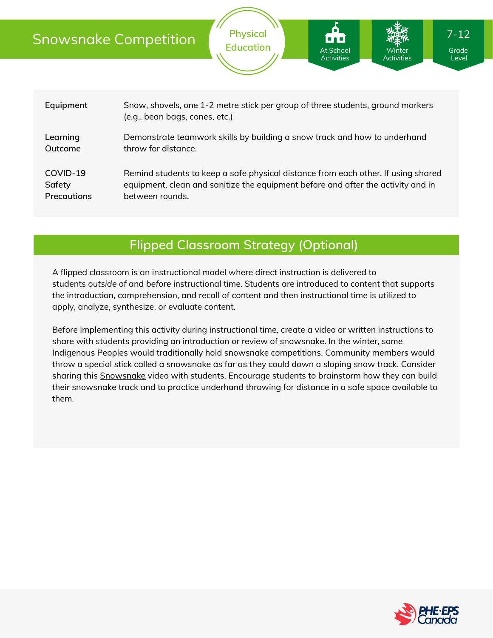|  | <b>Snowsnake Competition</b>      |                                                                                                                                                                                          | <b>Physical</b><br><b>Education</b> | 80 B<br><b>At School</b><br><b>Activities</b> | Winter<br><b>Activities</b> | $7 - 12$<br>Grade<br>Level |  |
|--|-----------------------------------|------------------------------------------------------------------------------------------------------------------------------------------------------------------------------------------|-------------------------------------|-----------------------------------------------|-----------------------------|----------------------------|--|
|  | Equipment                         |                                                                                                                                                                                          |                                     |                                               |                             |                            |  |
|  |                                   | Snow, shovels, one 1-2 metre stick per group of three students, ground markers<br>(e.g., bean bags, cones, etc.)                                                                         |                                     |                                               |                             |                            |  |
|  | Learning<br>Outcome               | Demonstrate teamwork skills by building a snow track and how to underhand<br>throw for distance.                                                                                         |                                     |                                               |                             |                            |  |
|  | COVID-19<br>Safety<br>Precautions | Remind students to keep a safe physical distance from each other. If using shared<br>equipment, clean and sanitize the equipment before and after the activity and in<br>between rounds. |                                     |                                               |                             |                            |  |

# **Flipped Classroom Strategy (Optional)**

A flipped classroom is an instructional model where direct instruction is delivered to students *outside of* and *before* instructional time. Students are introduced to content that supports the introduction, comprehension, and recall of content and then instructional time is utilized to apply, analyze, synthesize, or evaluate content.

Before implementing this activity during instructional time, create a video or written instructions to share with students providing an introduction or review of snowsnake. In the winter, some Indigenous Peoples would traditionally hold snowsnake competitions. Community members would throw a special stick called a snowsnake as far as they could down a sloping snow track. Consider sharing this [Snowsnake](https://www.youtube.com/watch?v=piQx9v1gVMY) video with students. Encourage students to brainstorm how they can build their snowsnake track and to practice underhand throwing for distance in a safe space available to them.

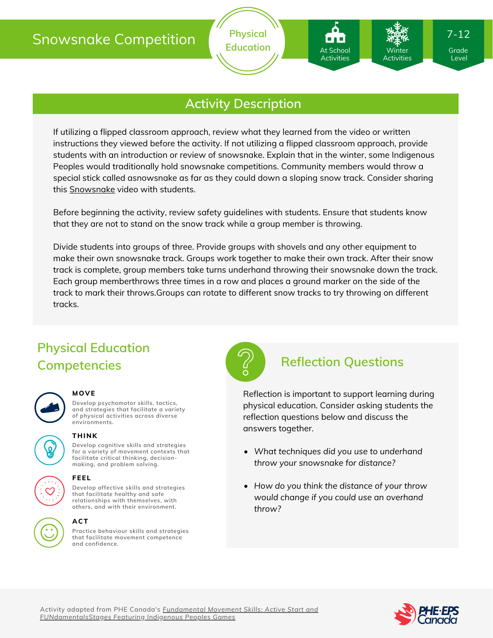# Snowsnake Competition



## **Activity Description**

If utilizing a flipped classroom approach, review what they learned from the video or written instructions they viewed before the activity. If not utilizing a flipped classroom approach, provide students with an introduction or review of snowsnake. Explain that in the winter, some Indigenous Peoples would traditionally hold snowsnake competitions. Community members would throw a special stick called asnowsnake as far as they could down a sloping snow track. Consider sharing this [Snowsnake](https://www.youtube.com/watch?v=piQx9v1gVMY) video with students.

Before beginning the activity, review safety guidelines with students. Ensure that students know that they are not to stand on the snow track while a group member is throwing.

Divide students into groups of three. Provide groups with shovels and any other equipment to make their own snowsnake track. Groups work together to make their own track. After their snow track is complete, group members take turns underhand throwing their snowsnake down the track. Each group memberthrows three times in a row and places a ground marker on the side of the track to mark their throws.Groups can rotate to different snow tracks to try throwing on different tracks.

# **Physical Education Competencies Reflection Questions**



### **MOVE**

**Develop psychomotor skills, tactics, and strategies that facilitate a variety of physical activities across diverse environments.**

**for a variety of movement contexts that facilitate critical thinking, decision making, and problem solving.**

## **THINK**

**Develop cognitive skills and strategies**

# **FEEL**

**Develop affective skills and strategies that facilitate healthy and safe relationships with themselves, with others, and with their environment.**

### **ACT**

**Practice behaviour skills and strategies that facilitate movement competence and confidence.**



At School Activities

Winter Activities

Reflection is important to support learning during physical education. Consider asking students the reflection questions below and discuss the answers together.

- *What techniques did you use to underhand throw your snowsnake for distance?*
- *How do you think the distance of your throw would change if you could use an overhand throw?*



Level

7-12